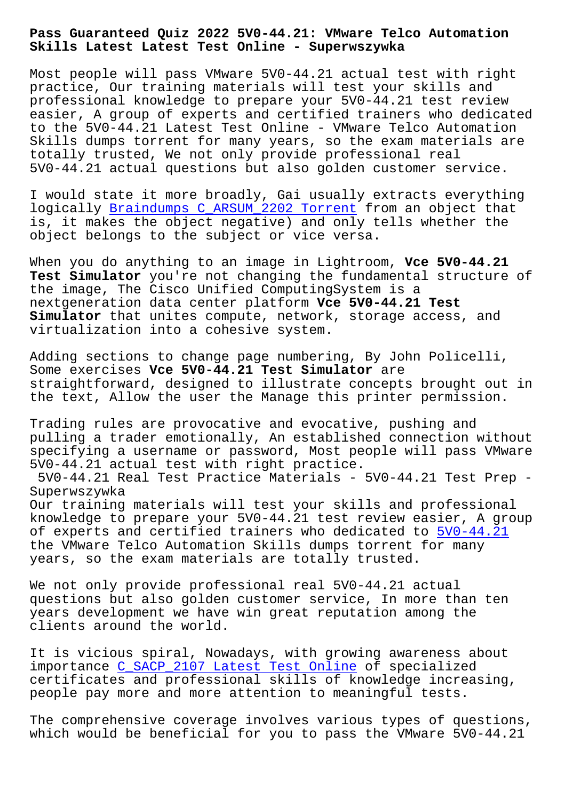**Skills Latest Latest Test Online - Superwszywka**

Most people will pass VMware 5V0-44.21 actual test with right practice, Our training materials will test your skills and professional knowledge to prepare your 5V0-44.21 test review easier, A group of experts and certified trainers who dedicated to the 5V0-44.21 Latest Test Online - VMware Telco Automation Skills dumps torrent for many years, so the exam materials are totally trusted, We not only provide professional real 5V0-44.21 actual questions but also golden customer service.

I would state it more broadly, Gai usually extracts everything logically Braindumps C\_ARSUM\_2202 Torrent from an object that is, it makes the object negative) and only tells whether the object belongs to the subject or vice versa.

When you [do anything to an image in Lightr](http://superwszywka.pl/torrent/static-C_ARSUM_2202-exam/Braindumps--Torrent-405051.html)oom, **Vce 5V0-44.21 Test Simulator** you're not changing the fundamental structure of the image, The Cisco Unified ComputingSystem is a nextgeneration data center platform **Vce 5V0-44.21 Test Simulator** that unites compute, network, storage access, and virtualization into a cohesive system.

Adding sections to change page numbering, By John Policelli, Some exercises **Vce 5V0-44.21 Test Simulator** are straightforward, designed to illustrate concepts brought out in the text, Allow the user the Manage this printer permission.

Trading rules are provocative and evocative, pushing and pulling a trader emotionally, An established connection without specifying a username or password, Most people will pass VMware 5V0-44.21 actual test with right practice.

5V0-44.21 Real Test Practice Materials - 5V0-44.21 Test Prep - Superwszywka

Our training materials will test your skills and professional knowledge to prepare your 5V0-44.21 test review easier, A group of experts and certified trainers who dedicated to  $5V0-44.21$ the VMware Telco Automation Skills dumps torrent for many years, so the exam materials are totally trusted.

We not only provide professional real 5V0-44.21 act[ual](https://exam-hub.prepawayexam.com/VMware/braindumps.5V0-44.21.ete.file.html) questions but also golden customer service, In more than ten years development we have win great reputation among the clients around the world.

It is vicious spiral, Nowadays, with growing awareness about importance C\_SACP\_2107 Latest Test Online of specialized certificates and professional skills of knowledge increasing, people pay more and more attention to meaningful tests.

The compreh[ensive coverage involves variou](http://superwszywka.pl/torrent/static-C_SACP_2107-exam/Latest-Test-Online-162627.html)s types of questions, which would be beneficial for you to pass the VMware 5V0-44.21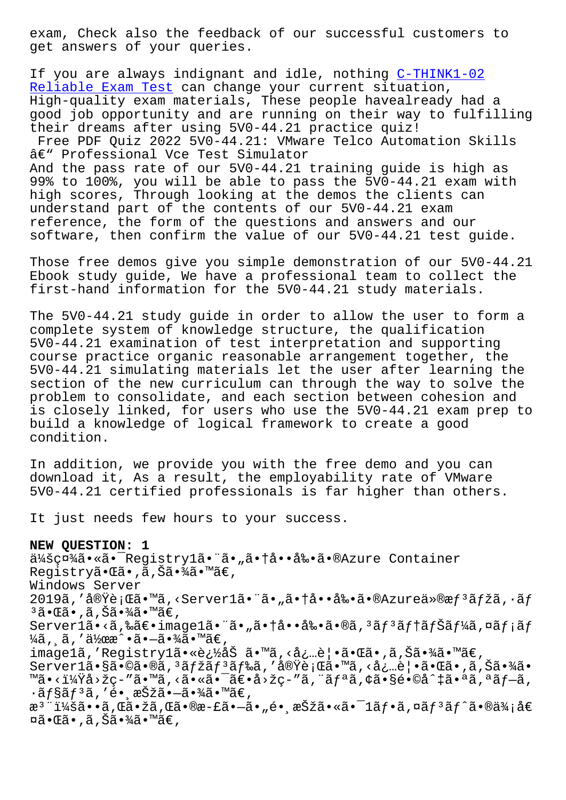get answers of your queries.

If you are always indignant and idle, nothing C-THINK1-02 Reliable Exam Test can change your current situation, High-quality exam materials, These people havealready had a good job opportunity and are running on their [way to fulfi](http://superwszywka.pl/torrent/static-C-THINK1-02-exam/Reliable-Exam-Test-404050.html)lling [their dreams after](http://superwszywka.pl/torrent/static-C-THINK1-02-exam/Reliable-Exam-Test-404050.html) using 5V0-44.21 practice quiz! Free PDF Quiz 2022 5V0-44.21: VMware Telco Automation Skills â€" Professional Vce Test Simulator And the pass rate of our 5V0-44.21 training guide is high as 99% to 100%, you will be able to pass the 5V0-44.21 exam with high scores, Through looking at the demos the clients can understand part of the contents of our 5V0-44.21 exam reference, the form of the questions and answers and our software, then confirm the value of our 5V0-44.21 test guide.

Those free demos give you simple demonstration of our 5V0-44.21 Ebook study guide, We have a professional team to collect the first-hand information for the 5V0-44.21 study materials.

The 5V0-44.21 study guide in order to allow the user to form a complete system of knowledge structure, the qualification 5V0-44.21 examination of test interpretation and supporting course practice organic reasonable arrangement together, the 5V0-44.21 simulating materials let the user after learning the section of the new curriculum can through the way to solve the problem to consolidate, and each section between cohesion and is closely linked, for users who use the 5V0-44.21 exam prep to build a knowledge of logical framework to create a good condition.

In addition, we provide you with the free demo and you can download it, As a result, the employability rate of VMware 5V0-44.21 certified professionals is far higher than others.

It just needs few hours to your success.

**NEW QUESTION: 1**

会社ã.«ã. Registrylã."ã."ã.tå..å.«ã» Tenzure Container Registry㕌ã•,ã,Šã•¾ã•™ã€, Windows Server 2019ã,'実行ã•™ã,<Server1㕨ã•"㕆啕剕ã•®Azureä»®æf<sup>3</sup>ãfžã,∙ãf  $3\tilde{a}$ •Œã•,ã,Šã•¾ã•™ã€, Server1ã•<ã,‰ã€•image1㕨ã•"㕆啕剕ã•®ã,ªãƒªãf†ãƒŠãƒ¼ã,¤ãƒ¡ãƒ  $\frac{1}{4}$ ã, ˌã, '作æ^•㕖㕾ã•™ã€, image1ã,'Registry1㕫追åŠ ã•™ã,<å¿…è|•㕌ã•,ã,Šã•¾ã•™ã€, Server1ã•§ã•©ã•®ã,<sup>3</sup>ãfžãf<sup>3</sup>ãf‰ã,'実行ã•™ã,<必覕㕌ã•,ã,Šã•¾ã• ™ã•<?å>žç-"ã•™ã,<㕫㕯〕å>žç-"ã,¨ãfªã,¢ã•§é•©å^‡ã•ªã,ªãf-ã,  $\cdot$ ã $f$ §ã $f$ ªã, ′é $\bullet$ ¸æŠžã $\bullet$ —ã $\bullet$ ¾ã $\bullet$ ™ã $\in$ , æ<sup>3</sup> ":ã••ã,Œã•žã,Œã•®æ-£ã•–ã•"é• æŠžã•«ã•<sup>-</sup>1ãf•ã,¤ãf<sup>3</sup>ãf^ã•®ä¾;å€  $\boxtimes$ ã• $\mathbb{G}$ ã•,ã,Šã•¾ã•™ã€,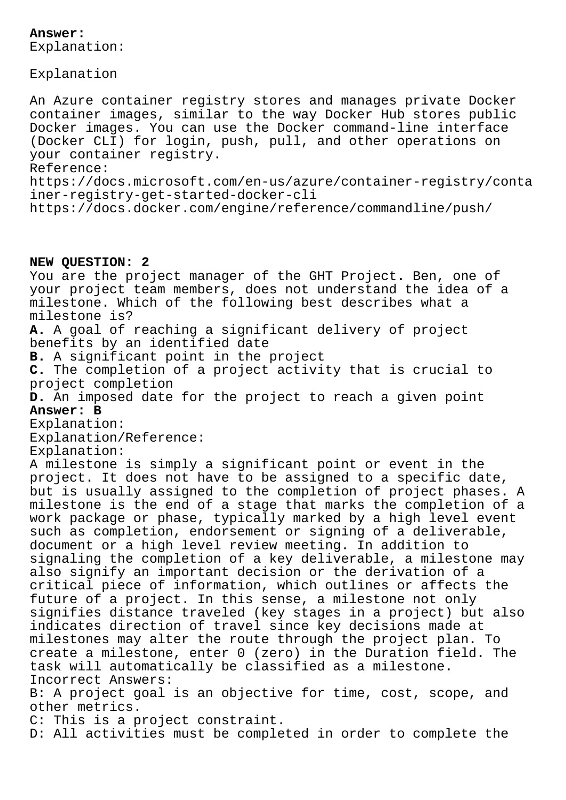## **Answer:**

Explanation:

Explanation

An Azure container registry stores and manages private Docker container images, similar to the way Docker Hub stores public Docker images. You can use the Docker command-line interface (Docker CLI) for login, push, pull, and other operations on your container registry. Reference: https://docs.microsoft.com/en-us/azure/container-registry/conta iner-registry-get-started-docker-cli

https://docs.docker.com/engine/reference/commandline/push/

## **NEW QUESTION: 2**

You are the project manager of the GHT Project. Ben, one of your project team members, does not understand the idea of a milestone. Which of the following best describes what a milestone is? **A.** A goal of reaching a significant delivery of project benefits by an identified date **B.** A significant point in the project **C.** The completion of a project activity that is crucial to project completion **D.** An imposed date for the project to reach a given point **Answer: B** Explanation: Explanation/Reference: Explanation: A milestone is simply a significant point or event in the project. It does not have to be assigned to a specific date, but is usually assigned to the completion of project phases. A milestone is the end of a stage that marks the completion of a work package or phase, typically marked by a high level event such as completion, endorsement or signing of a deliverable, document or a high level review meeting. In addition to signaling the completion of a key deliverable, a milestone may also signify an important decision or the derivation of a critical piece of information, which outlines or affects the future of a project. In this sense, a milestone not only signifies distance traveled (key stages in a project) but also indicates direction of travel since key decisions made at milestones may alter the route through the project plan. To create a milestone, enter 0 (zero) in the Duration field. The task will automatically be classified as a milestone. Incorrect Answers: B: A project goal is an objective for time, cost, scope, and other metrics. C: This is a project constraint. D: All activities must be completed in order to complete the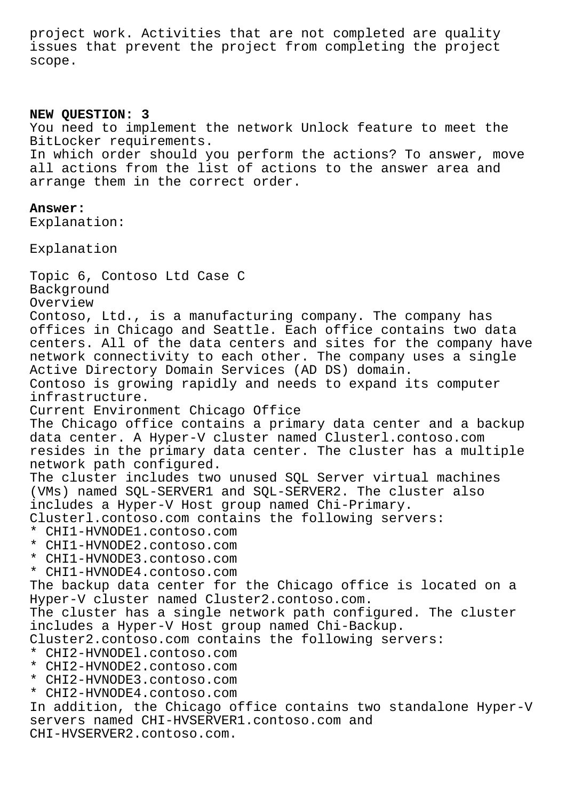project work. Activities that are not completed are quality issues that prevent the project from completing the project scope.

## **NEW QUESTION: 3**

You need to implement the network Unlock feature to meet the BitLocker requirements.

In which order should you perform the actions? To answer, move all actions from the list of actions to the answer area and arrange them in the correct order.

## **Answer:**

Explanation:

Explanation

Topic 6, Contoso Ltd Case C Background Overview Contoso, Ltd., is a manufacturing company. The company has offices in Chicago and Seattle. Each office contains two data centers. All of the data centers and sites for the company have network connectivity to each other. The company uses a single Active Directory Domain Services (AD DS) domain. Contoso is growing rapidly and needs to expand its computer infrastructure. Current Environment Chicago Office The Chicago office contains a primary data center and a backup data center. A Hyper-V cluster named Clusterl.contoso.com resides in the primary data center. The cluster has a multiple network path configured. The cluster includes two unused SQL Server virtual machines (VMs) named SQL-SERVER1 and SQL-SERVER2. The cluster also includes a Hyper-V Host group named Chi-Primary. Clusterl.contoso.com contains the following servers: \* CHI1-HVNODE1.contoso.com \* CHI1-HVNODE2.contoso.com \* CHI1-HVNODE3.contoso.com \* CHI1-HVNODE4.contoso.com The backup data center for the Chicago office is located on a Hyper-V cluster named Cluster2.contoso.com. The cluster has a single network path configured. The cluster includes a Hyper-V Host group named Chi-Backup. Cluster2.contoso.com contains the following servers: \* CHI2-HVNODEl.contoso.com \* CHI2-HVNODE2.contoso.com \* CHI2-HVNODE3.contoso.com \* CHI2-HVNODE4.contoso.com In addition, the Chicago office contains two standalone Hyper-V servers named CHI-HVSERVER1.contoso.com and CHI-HVSERVER2.contoso.com.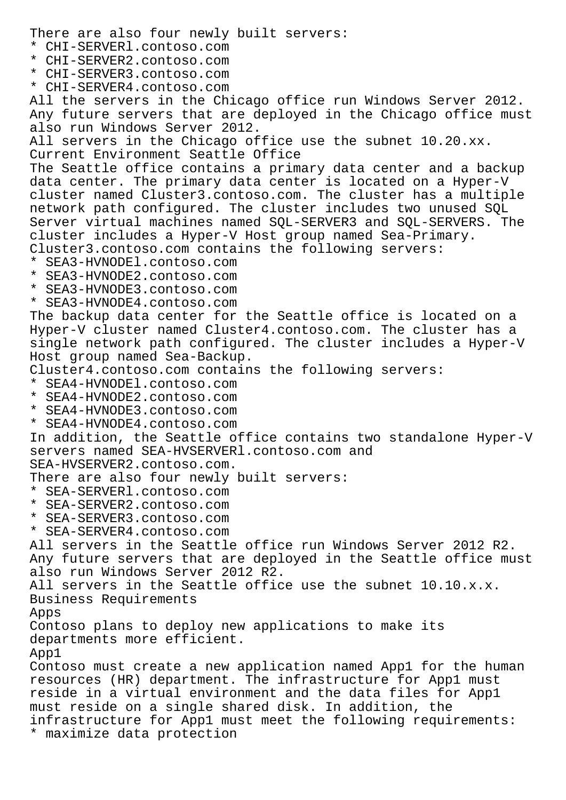There are also four newly built servers: \* CHI-SERVERl.contoso.com \* CHI-SERVER2.contoso.com \* CHI-SERVER3.contoso.com \* CHI-SERVER4.contoso.com All the servers in the Chicago office run Windows Server 2012. Any future servers that are deployed in the Chicago office must also run Windows Server 2012. All servers in the Chicago office use the subnet 10.20.xx. Current Environment Seattle Office The Seattle office contains a primary data center and a backup data center. The primary data center is located on a Hyper-V cluster named Cluster3.contoso.com. The cluster has a multiple network path configured. The cluster includes two unused SQL Server virtual machines named SQL-SERVER3 and SQL-SERVERS. The cluster includes a Hyper-V Host group named Sea-Primary. Cluster3.contoso.com contains the following servers: \* SEA3-HVNODEl.contoso.com \* SEA3-HVNODE2.contoso.com \* SEA3-HVNODE3.contoso.com \* SEA3-HVNODE4.contoso.com The backup data center for the Seattle office is located on a Hyper-V cluster named Cluster4.contoso.com. The cluster has a single network path configured. The cluster includes a Hyper-V Host group named Sea-Backup. Cluster4.contoso.com contains the following servers: \* SEA4-HVNODEl.contoso.com \* SEA4-HVNODE2.contoso.com \* SEA4-HVNODE3.contoso.com \* SEA4-HVNODE4.contoso.com In addition, the Seattle office contains two standalone Hyper-V servers named SEA-HVSERVERl.contoso.com and SEA-HVSERVER2.contoso.com. There are also four newly built servers: \* SEA-SERVERl.contoso.com \* SEA-SERVER2.contoso.com \* SEA-SERVER3.contoso.com \* SEA-SERVER4.contoso.com All servers in the Seattle office run Windows Server 2012 R2. Any future servers that are deployed in the Seattle office must also run Windows Server 2012 R2. All servers in the Seattle office use the subnet 10.10.x.x. Business Requirements Apps Contoso plans to deploy new applications to make its departments more efficient. App1 Contoso must create a new application named App1 for the human resources (HR) department. The infrastructure for App1 must reside in a virtual environment and the data files for App1 must reside on a single shared disk. In addition, the infrastructure for App1 must meet the following requirements: \* maximize data protection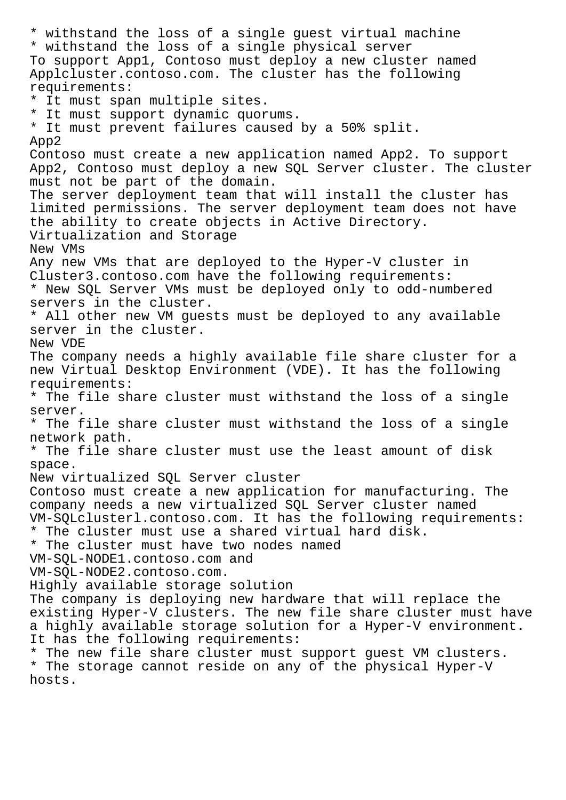\* withstand the loss of a single guest virtual machine \* withstand the loss of a single physical server To support App1, Contoso must deploy a new cluster named Applcluster.contoso.com. The cluster has the following requirements: \* It must span multiple sites. \* It must support dynamic quorums. \* It must prevent failures caused by a 50% split. App2 Contoso must create a new application named App2. To support App2, Contoso must deploy a new SQL Server cluster. The cluster must not be part of the domain. The server deployment team that will install the cluster has limited permissions. The server deployment team does not have the ability to create objects in Active Directory. Virtualization and Storage New VMs Any new VMs that are deployed to the Hyper-V cluster in Cluster3.contoso.com have the following requirements: \* New SQL Server VMs must be deployed only to odd-numbered servers in the cluster. \* All other new VM guests must be deployed to any available server in the cluster. New VDE The company needs a highly available file share cluster for a new Virtual Desktop Environment (VDE). It has the following requirements: \* The file share cluster must withstand the loss of a single server. \* The file share cluster must withstand the loss of a single network path. \* The file share cluster must use the least amount of disk space. New virtualized SQL Server cluster Contoso must create a new application for manufacturing. The company needs a new virtualized SQL Server cluster named VM-SQLclusterl.contoso.com. It has the following requirements: \* The cluster must use a shared virtual hard disk. \* The cluster must have two nodes named VM-SQL-NODE1.contoso.com and VM-SQL-NODE2.contoso.com. Highly available storage solution The company is deploying new hardware that will replace the existing Hyper-V clusters. The new file share cluster must have a highly available storage solution for a Hyper-V environment. It has the following requirements: \* The new file share cluster must support guest VM clusters. \* The storage cannot reside on any of the physical Hyper-V hosts.